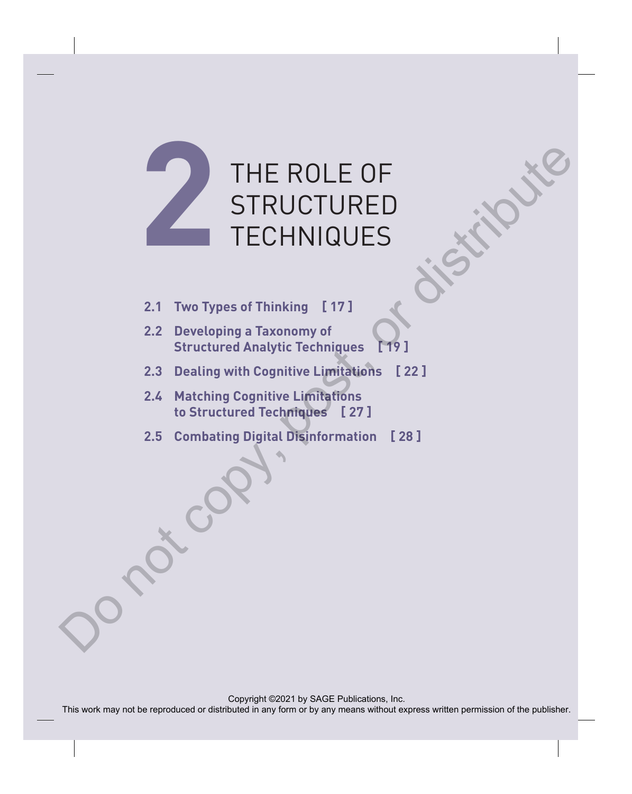

- **2.1 Two Types of Thinking [ 17 ]**
- **2.2 Developing a Taxonomy of Structured Analytic Techniques [ 19 ]**
- **2.3 Dealing with Cognitive Limitations [ 22 ]**
- **2.4 Matching Cognitive Limitations to Structured Techniques [ 27 ]**
- **2.5 Combating Digital Disinformation [ 28 ]**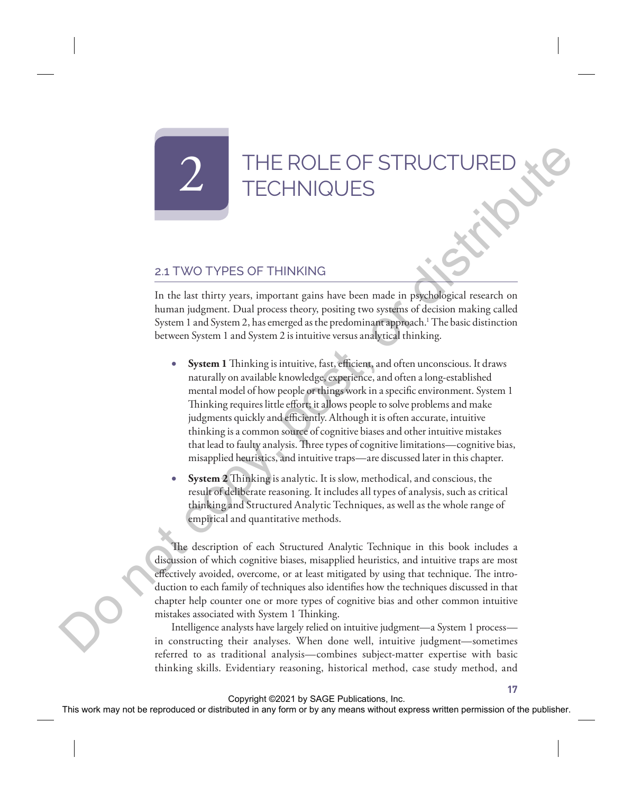# THE ROLE OF STRUCTECHNIQUES

## 2.1 TWO TYPES OF THINKING

In the last thirty years, important gains have been made in psychological research on human judgment. Dual process theory, positing two systems of decision making called System 1 and System 2, has emerged as the predominant approach.<sup>1</sup> The basic distinction between System 1 and System 2 is intuitive versus analytical thinking.

- **System 1** Thinking is intuitive, fast, efficient, and often unconscious. It draws naturally on available knowledge, experience, and often a long-established mental model of how people or things work in a specific environment. System 1 Thinking requires little effort; it allows people to solve problems and make judgments quickly and efficiently. Although it is often accurate, intuitive thinking is a common source of cognitive biases and other intuitive mistakes that lead to faulty analysis. Three types of cognitive limitations—cognitive bias, misapplied heuristics, and intuitive traps—are discussed later in this chapter. THE ROLE OF STRUCTURED<br>
TECHNIQUES<br>
2.1 TWO TYPES OF THINKING<br>
In the last thin types, improvement gives howe been made in propagalogical research or<br>
human judgment, the pure scheme per symptom of the size of the pure of
	- **System 2** Thinking is analytic. It is slow, methodical, and conscious, the result of deliberate reasoning. It includes all types of analysis, such as critical thinking and Structured Analytic Techniques, as well as the whole range of empirical and quantitative methods.

The description of each Structured Analytic Technique in this book includes a discussion of which cognitive biases, misapplied heuristics, and intuitive traps are most effectively avoided, overcome, or at least mitigated by using that technique. The introduction to each family of techniques also identifies how the techniques discussed in that chapter help counter one or more types of cognitive bias and other common intuitive mistakes associated with System 1 Thinking.

Intelligence analysts have largely relied on intuitive judgment—a System 1 process in constructing their analyses. When done well, intuitive judgment—sometimes referred to as traditional analysis—combines subject-matter expertise with basic thinking skills. Evidentiary reasoning, historical method, case study method, and

**17**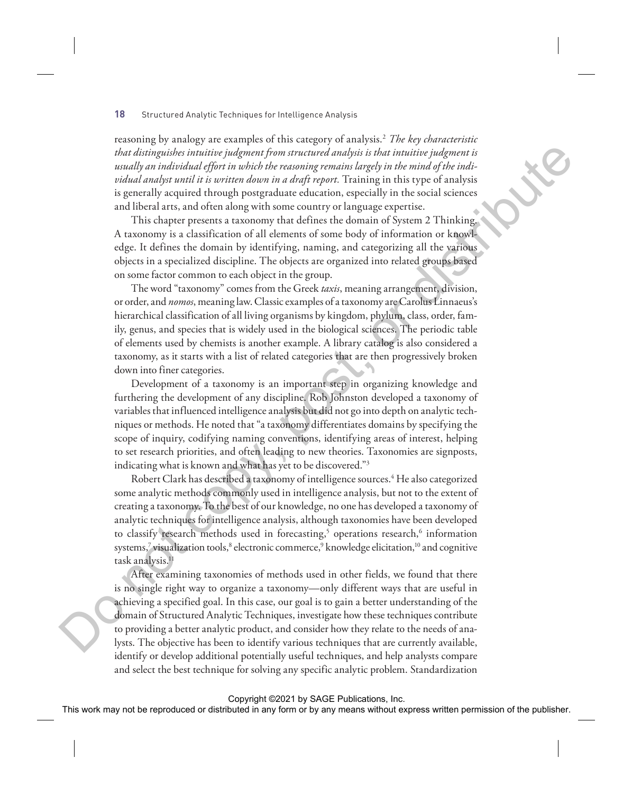reasoning by analogy are examples of this category of analysis.2 *The key characteristic that distinguishes intuitive judgment from structured analysis is that intuitive judgment is usually an individual effort in which the reasoning remains largely in the mind of the individual analyst until it is written down in a draft report.* Training in this type of analysis is generally acquired through postgraduate education, especially in the social sciences and liberal arts, and often along with some country or language expertise.

This chapter presents a taxonomy that defines the domain of System 2 Thinking. A taxonomy is a classification of all elements of some body of information or knowledge. It defines the domain by identifying, naming, and categorizing all the various objects in a specialized discipline. The objects are organized into related groups based on some factor common to each object in the group.

The word "taxonomy" comes from the Greek *taxis*, meaning arrangement, division, or order, and *nomos*, meaning law. Classic examples of a taxonomy are Carolus Linnaeus's hierarchical classification of all living organisms by kingdom, phylum, class, order, family, genus, and species that is widely used in the biological sciences. The periodic table of elements used by chemists is another example. A library catalog is also considered a taxonomy, as it starts with a list of related categories that are then progressively broken down into finer categories.

Development of a taxonomy is an important step in organizing knowledge and furthering the development of any discipline. Rob Johnston developed a taxonomy of variables that influenced intelligence analysis but did not go into depth on analytic techniques or methods. He noted that "a taxonomy differentiates domains by specifying the scope of inquiry, codifying naming conventions, identifying areas of interest, helping to set research priorities, and often leading to new theories. Taxonomies are signposts, indicating what is known and what has yet to be discovered."3

Robert Clark has described a taxonomy of intelligence sources.<sup>4</sup> He also categorized some analytic methods commonly used in intelligence analysis, but not to the extent of creating a taxonomy. To the best of our knowledge, no one has developed a taxonomy of analytic techniques for intelligence analysis, although taxonomies have been developed to classify research methods used in forecasting,<sup>5</sup> operations research,<sup>6</sup> information systems,<sup>7</sup> visualization tools,<sup>8</sup> electronic commerce,<sup>9</sup> knowledge elicitation,<sup>10</sup> and cognitive task analysis.<sup>11</sup>

After examining taxonomies of methods used in other fields, we found that there is no single right way to organize a taxonomy—only different ways that are useful in achieving a specified goal. In this case, our goal is to gain a better understanding of the domain of Structured Analytic Techniques, investigate how these techniques contribute to providing a better analytic product, and consider how they relate to the needs of analysts. The objective has been to identify various techniques that are currently available, identify or develop additional potentially useful techniques, and help analysts compare and select the best technique for solving any specific analytic problem. Standardization And also implies the reproduced from the reproduced or the reproduced or the reproduced or the reproduced or the reproduced in any form of the publisher or by any means with a statistical conduction or the publisher. Then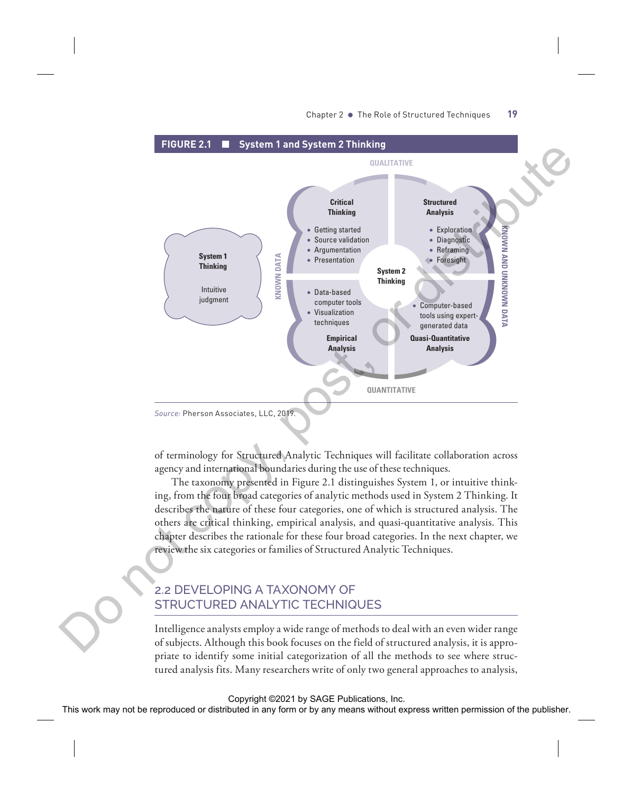

of terminology for Structured Analytic Techniques will facilitate collaboration across agency and international boundaries during the use of these techniques.

The taxonomy presented in Figure 2.1 distinguishes System 1, or intuitive thinking, from the four broad categories of analytic methods used in System 2 Thinking. It describes the nature of these four categories, one of which is structured analysis. The others are critical thinking, empirical analysis, and quasi-quantitative analysis. This chapter describes the rationale for these four broad categories. In the next chapter, we review the six categories or families of Structured Analytic Techniques.

## 2.2 DEVELOPING A TAXONOMY OF STRUCTURED ANALYTIC TECHNIQUES

Intelligence analysts employ a wide range of methods to deal with an even wider range of subjects. Although this book focuses on the field of structured analysis, it is appropriate to identify some initial categorization of all the methods to see where structured analysis fits. Many researchers write of only two general approaches to analysis,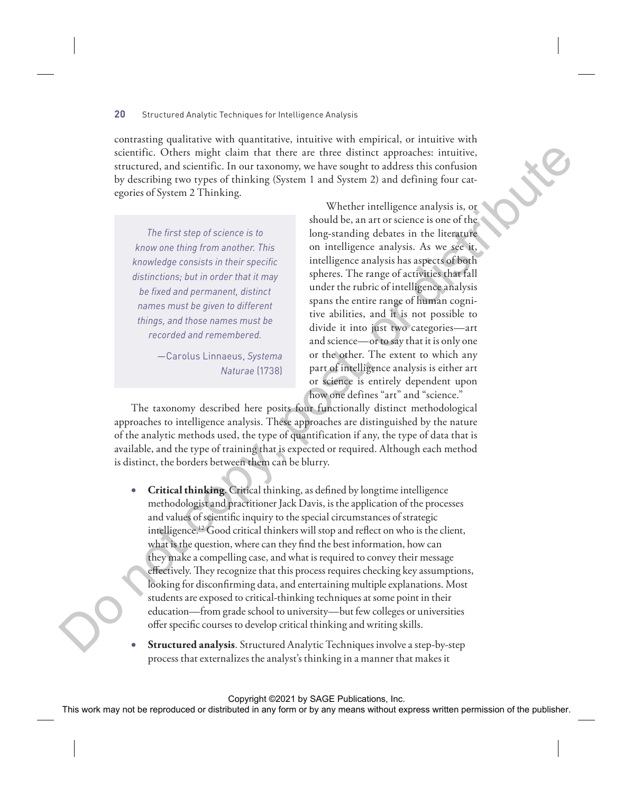contrasting qualitative with quantitative, intuitive with empirical, or intuitive with scientific. Others might claim that there are three distinct approaches: intuitive, structured, and scientific. In our taxonomy, we have sought to address this confusion by describing two types of thinking (System 1 and System 2) and defining four categories of System 2 Thinking.

*The first step of science is to know one thing from another. This knowledge consists in their specific distinctions; but in order that it may be fixed and permanent, distinct names must be given to different things, and those names must be recorded and remembered.*

> —Carolus Linnaeus, *Systema Naturae* (1738)

Whether intelligence analysis is, or should be, an art or science is one of the long-standing debates in the literature on intelligence analysis. As we see it, intelligence analysis has aspects of both spheres. The range of activities that fall under the rubric of intelligence analysis spans the entire range of human cognitive abilities, and it is not possible to divide it into just two categories—art and science—or to say that it is only one or the other. The extent to which any part of intelligence analysis is either art or science is entirely dependent upon how one defines "art" and "science."

The taxonomy described here posits four functionally distinct methodological approaches to intelligence analysis. These approaches are distinguished by the nature of the analytic methods used, the type of quantification if any, the type of data that is available, and the type of training that is expected or required. Although each method is distinct, the borders between them can be blurry.

- **Critical thinking**. Critical thinking, as defined by longtime intelligence methodologist and practitioner Jack Davis, is the application of the processes and values of scientific inquiry to the special circumstances of strategic intelligence.12 Good critical thinkers will stop and reflect on who is the client, what is the question, where can they find the best information, how can they make a compelling case, and what is required to convey their message effectively. They recognize that this process requires checking key assumptions, looking for disconfirming data, and entertaining multiple explanations. Most students are exposed to critical-thinking techniques at some point in their education—from grade school to university—but few colleges or universities offer specific courses to develop critical thinking and writing skills. stantially. Others may introduce the three states in the results in a proposition in the results of the results of the publisher. The space of the publisher permission of the results of the results of the publisher in any
	- **Structured analysis**. Structured Analytic Techniques involve a step-by-step process that externalizes the analyst's thinking in a manner that makes it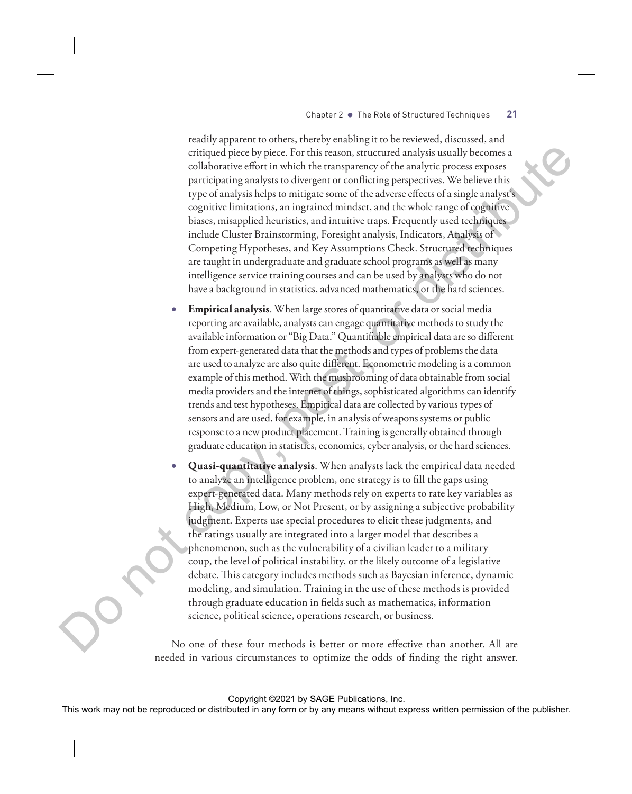readily apparent to others, thereby enabling it to be reviewed, discussed, and critiqued piece by piece. For this reason, structured analysis usually becomes a collaborative effort in which the transparency of the analytic process exposes participating analysts to divergent or conflicting perspectives. We believe this type of analysis helps to mitigate some of the adverse effects of a single analyst's cognitive limitations, an ingrained mindset, and the whole range of cognitive biases, misapplied heuristics, and intuitive traps. Frequently used techniques include Cluster Brainstorming, Foresight analysis, Indicators, Analysis of Competing Hypotheses, and Key Assumptions Check. Structured techniques are taught in undergraduate and graduate school programs as well as many intelligence service training courses and can be used by analysts who do not have a background in statistics, advanced mathematics, or the hard sciences.

- **Empirical analysis**. When large stores of quantitative data or social media reporting are available, analysts can engage quantitative methods to study the available information or "Big Data." Quantifiable empirical data are so different from expert-generated data that the methods and types of problems the data are used to analyze are also quite different. Econometric modeling is a common example of this method. With the mushrooming of data obtainable from social media providers and the internet of things, sophisticated algorithms can identify trends and test hypotheses. Empirical data are collected by various types of sensors and are used, for example, in analysis of weapons systems or public response to a new product placement. Training is generally obtained through graduate education in statistics, economics, cyber analysis, or the hard sciences.
- **Quasi-quantitative analysis**. When analysts lack the empirical data needed to analyze an intelligence problem, one strategy is to fill the gaps using expert-generated data. Many methods rely on experts to rate key variables as High, Medium, Low, or Not Present, or by assigning a subjective probability judgment. Experts use special procedures to elicit these judgments, and the ratings usually are integrated into a larger model that describes a phenomenon, such as the vulnerability of a civilian leader to a military coup, the level of political instability, or the likely outcome of a legislative debate. This category includes methods such as Bayesian inference, dynamic modeling, and simulation. Training in the use of these methods is provided through graduate education in fields such as mathematics, information science, political science, operations research, or business. This particular tects with the resume of the resume are constrained in a state of the reproduced or distributed in any form or between the state of the state or distributed in any properties of the state of the publisher

No one of these four methods is better or more effective than another. All are needed in various circumstances to optimize the odds of finding the right answer.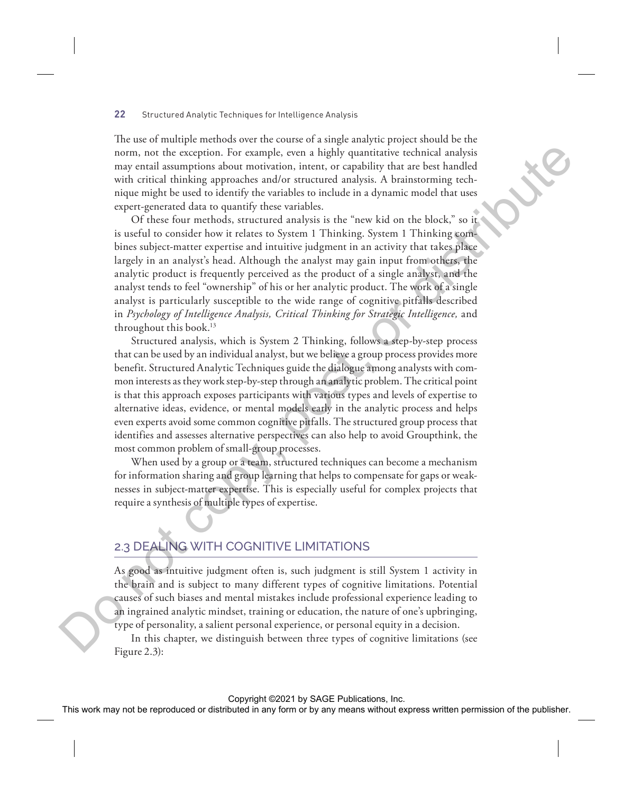The use of multiple methods over the course of a single analytic project should be the norm, not the exception. For example, even a highly quantitative technical analysis may entail assumptions about motivation, intent, or capability that are best handled with critical thinking approaches and/or structured analysis. A brainstorming technique might be used to identify the variables to include in a dynamic model that uses expert-generated data to quantify these variables.

Of these four methods, structured analysis is the "new kid on the block," so it is useful to consider how it relates to System 1 Thinking. System 1 Thinking combines subject-matter expertise and intuitive judgment in an activity that takes place largely in an analyst's head. Although the analyst may gain input from others, the analytic product is frequently perceived as the product of a single analyst, and the analyst tends to feel "ownership" of his or her analytic product. The work of a single analyst is particularly susceptible to the wide range of cognitive pitfalls described in *Psychology of Intelligence Analysis, Critical Thinking for Strategic Intelligence,* and throughout this book.13 norm, not the exception, the reannely, even in highle quantitative technical any means without express the publisher any form or both control in a signature and the publisher. A burinomening recht and the publisher any me

Structured analysis, which is System 2 Thinking, follows a step-by-step process that can be used by an individual analyst, but we believe a group process provides more benefit. Structured Analytic Techniques guide the dialogue among analysts with common interests as they work step-by-step through an analytic problem. The critical point is that this approach exposes participants with various types and levels of expertise to alternative ideas, evidence, or mental models early in the analytic process and helps even experts avoid some common cognitive pitfalls. The structured group process that identifies and assesses alternative perspectives can also help to avoid Groupthink, the most common problem of small-group processes.

When used by a group or a team, structured techniques can become a mechanism for information sharing and group learning that helps to compensate for gaps or weaknesses in subject-matter expertise. This is especially useful for complex projects that require a synthesis of multiple types of expertise.

## 2.3 DEALING WITH COGNITIVE LIMITATIONS

As good as intuitive judgment often is, such judgment is still System 1 activity in the brain and is subject to many different types of cognitive limitations. Potential causes of such biases and mental mistakes include professional experience leading to an ingrained analytic mindset, training or education, the nature of one's upbringing, type of personality, a salient personal experience, or personal equity in a decision.

In this chapter, we distinguish between three types of cognitive limitations (see Figure 2.3):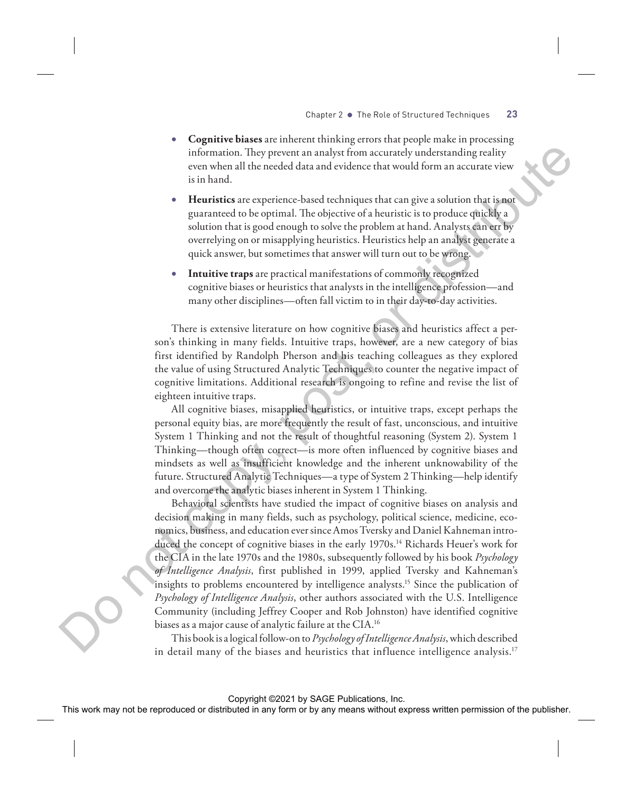- **Cognitive biases** are inherent thinking errors that people make in processing information. They prevent an analyst from accurately understanding reality even when all the needed data and evidence that would form an accurate view is in hand.
- **Heuristics** are experience-based techniques that can give a solution that is not guaranteed to be optimal. The objective of a heuristic is to produce quickly a solution that is good enough to solve the problem at hand. Analysts can err by overrelying on or misapplying heuristics. Heuristics help an analyst generate a quick answer, but sometimes that answer will turn out to be wrong.
- **Intuitive traps** are practical manifestations of commonly recognized cognitive biases or heuristics that analysts in the intelligence profession—and many other disciplines—often fall victim to in their day-to-day activities.

There is extensive literature on how cognitive biases and heuristics affect a person's thinking in many fields. Intuitive traps, however, are a new category of bias first identified by Randolph Pherson and his teaching colleagues as they explored the value of using Structured Analytic Techniques to counter the negative impact of cognitive limitations. Additional research is ongoing to refine and revise the list of eighteen intuitive traps.

All cognitive biases, misapplied heuristics, or intuitive traps, except perhaps the personal equity bias, are more frequently the result of fast, unconscious, and intuitive System 1 Thinking and not the result of thoughtful reasoning (System 2). System 1 Thinking—though often correct—is more often influenced by cognitive biases and mindsets as well as insufficient knowledge and the inherent unknowability of the future. Structured Analytic Techniques—a type of System 2 Thinking—help identify and overcome the analytic biases inherent in System 1 Thinking.

Behavioral scientists have studied the impact of cognitive biases on analysis and decision making in many fields, such as psychology, political science, medicine, economics, business, and education ever since Amos Tversky and Daniel Kahneman introduced the concept of cognitive biases in the early 1970s.14 Richards Heuer's work for the CIA in the late 1970s and the 1980s, subsequently followed by his book *Psychology of Intelligence Analysis*, first published in 1999, applied Tversky and Kahneman's insights to problems encountered by intelligence analysts.15 Since the publication of *Psychology of Intelligence Analysis*, other authors associated with the U.S. Intelligence Community (including Jeffrey Cooper and Rob Johnston) have identified cognitive biases as a major cause of analytic failure at the CIA.16 This has the result of the result of the result of the result of the result of the result of the result of the result of the result of the result of the result of the publishers with the experimental or the publisher of t

This book is a logical follow-on to *Psychology of Intelligence Analysis*, which described in detail many of the biases and heuristics that influence intelligence analysis.17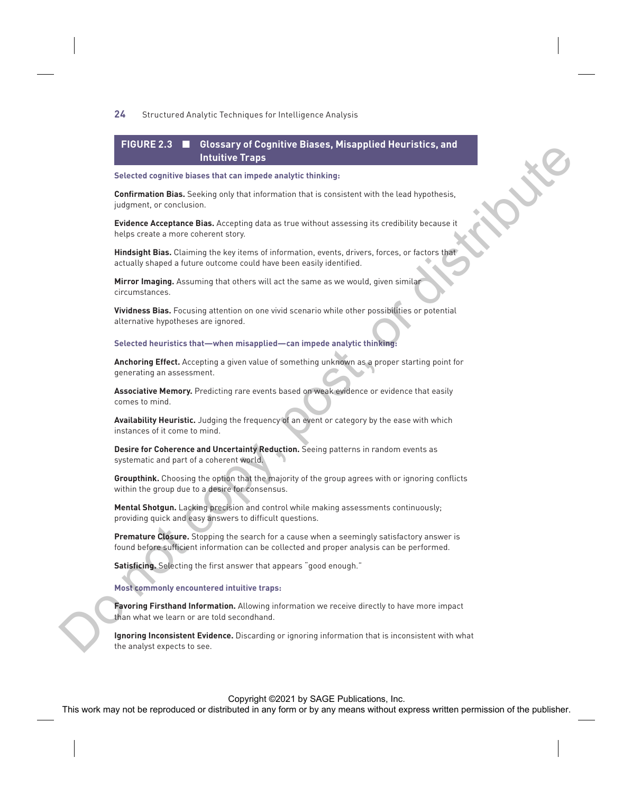## **FIGURE 2.3** ■ **Glossary of Cognitive Biases, Misapplied Heuristics, and Intuitive Traps**

#### **Selected cognitive biases that can impede analytic thinking:**

**Confirmation Bias.** Seeking only that information that is consistent with the lead hypothesis, judgment, or conclusion.

**Evidence Acceptance Bias.** Accepting data as true without assessing its credibility because it helps create a more coherent story.

**Hindsight Bias.** Claiming the key items of information, events, drivers, forces, or factors that actually shaped a future outcome could have been easily identified.

**Mirror Imaging.** Assuming that others will act the same as we would, given similar circumstances.

**Vividness Bias.** Focusing attention on one vivid scenario while other possibilities or potential alternative hypotheses are ignored.

#### **Selected heuristics that—when misapplied—can impede analytic thinking:**

**Anchoring Effect.** Accepting a given value of something unknown as a proper starting point for generating an assessment.

**Associative Memory.** Predicting rare events based on weak evidence or evidence that easily comes to mind.

**Availability Heuristic.** Judging the frequency of an event or category by the ease with which instances of it come to mind.

**Desire for Coherence and Uncertainty Reduction.** Seeing patterns in random events as systematic and part of a coherent world.

**Groupthink.** Choosing the option that the majority of the group agrees with or ignoring conflicts within the group due to a desire for consensus.

**Mental Shotgun.** Lacking precision and control while making assessments continuously; providing quick and easy answers to difficult questions.

**Premature Closure.** Stopping the search for a cause when a seemingly satisfactory answer is found before sufficient information can be collected and proper analysis can be performed.

**Satisficing.** Selecting the first answer that appears "good enough."

#### **Most commonly encountered intuitive traps:**

**Favoring Firsthand Information.** Allowing information we receive directly to have more impact than what we learn or are told secondhand.

**Ignoring Inconsistent Evidence.** Discarding or ignoring information that is inconsistent with what the analyst expects to see. This work may not be reproduced or distributed in any form or by any means which is the reproduced or distributed in any form or by any means and the publisher of the publisher. This work may not be reproduced to the publi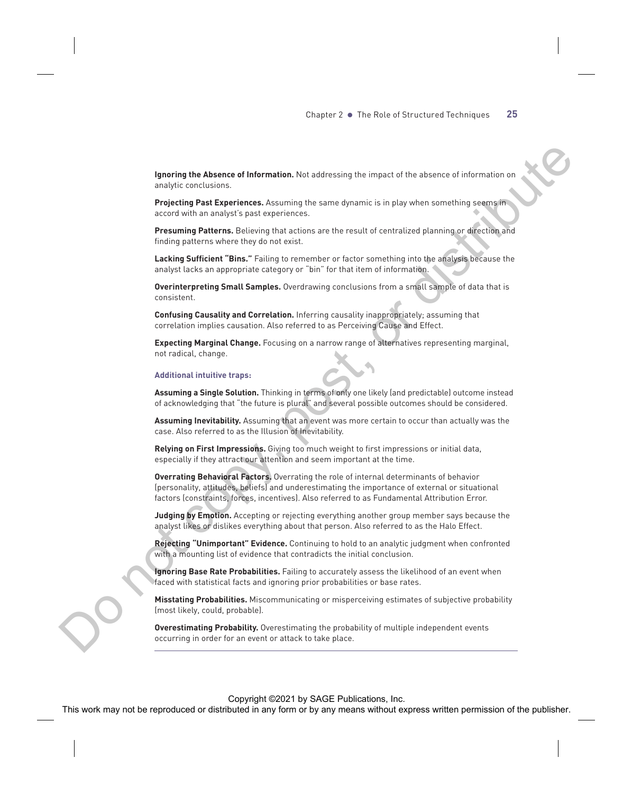**Ignoring the Absence of Information.** Not addressing the impact of the absence of information on analytic conclusions.

**Projecting Past Experiences.** Assuming the same dynamic is in play when something seems in accord with an analyst's past experiences.

**Presuming Patterns.** Believing that actions are the result of centralized planning or direction and finding patterns where they do not exist.

**Lacking Sufficient "Bins."** Failing to remember or factor something into the analysis because the analyst lacks an appropriate category or "bin" for that item of information.

**Overinterpreting Small Samples.** Overdrawing conclusions from a small sample of data that is consistent.

**Confusing Causality and Correlation.** Inferring causality inappropriately; assuming that correlation implies causation. Also referred to as Perceiving Cause and Effect.

**Expecting Marginal Change.** Focusing on a narrow range of alternatives representing marginal, not radical, change.

#### **Additional intuitive traps:**

**Assuming a Single Solution.** Thinking in terms of only one likely (and predictable) outcome instead of acknowledging that "the future is plural" and several possible outcomes should be considered.

**Assuming Inevitability.** Assuming that an event was more certain to occur than actually was the case. Also referred to as the Illusion of Inevitability.

**Relying on First Impressions.** Giving too much weight to first impressions or initial data, especially if they attract our attention and seem important at the time.

**Overrating Behavioral Factors.** Overrating the role of internal determinants of behavior (personality, attitudes, beliefs) and underestimating the importance of external or situational factors (constraints, forces, incentives). Also referred to as Fundamental Attribution Error. The May note of the Computer or the Computer or distributed in any form or by any means without express without express the reproduced in any form or by any means without express the publisher. The computed in any form or

**Judging by Emotion.** Accepting or rejecting everything another group member says because the analyst likes or dislikes everything about that person. Also referred to as the Halo Effect.

**Rejecting "Unimportant" Evidence.** Continuing to hold to an analytic judgment when confronted with a mounting list of evidence that contradicts the initial conclusion.

**Ignoring Base Rate Probabilities.** Failing to accurately assess the likelihood of an event when faced with statistical facts and ignoring prior probabilities or base rates.

**Misstating Probabilities.** Miscommunicating or misperceiving estimates of subjective probability (most likely, could, probable).

**Overestimating Probability.** Overestimating the probability of multiple independent events occurring in order for an event or attack to take place.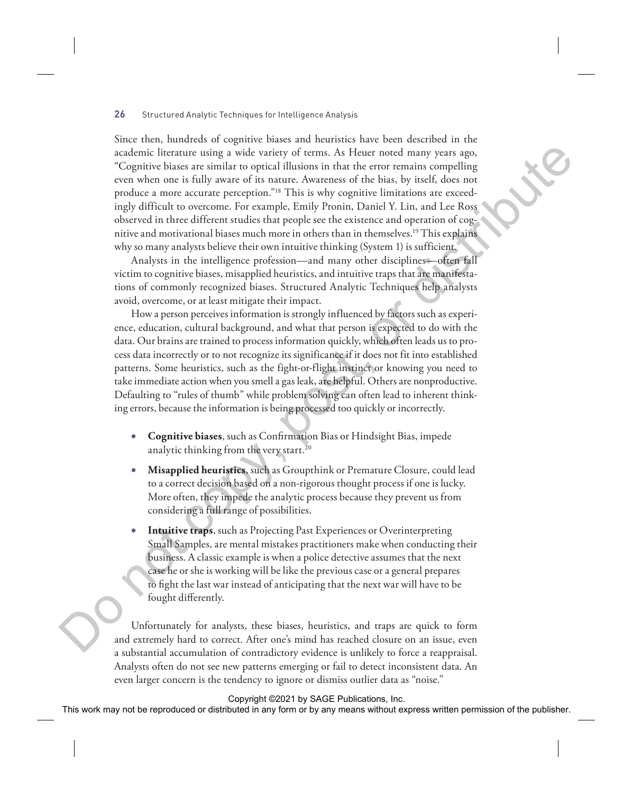Since then, hundreds of cognitive biases and heuristics have been described in the academic literature using a wide variety of terms. As Heuer noted many years ago, "Cognitive biases are similar to optical illusions in that the error remains compelling even when one is fully aware of its nature. Awareness of the bias, by itself, does not produce a more accurate perception."18 This is why cognitive limitations are exceedingly difficult to overcome. For example, Emily Pronin, Daniel Y. Lin, and Lee Ross observed in three different studies that people see the existence and operation of cognitive and motivational biases much more in others than in themselves.19 This explains why so many analysts believe their own intuitive thinking (System 1) is sufficient. Exchange with variable in any permission or the reproduced or the publishering the reproduced or distributed or distributed or distributed or distributed or distributed or distributed or distributed or distributed in any

Analysts in the intelligence profession—and many other disciplines—often fall victim to cognitive biases, misapplied heuristics, and intuitive traps that are manifestations of commonly recognized biases. Structured Analytic Techniques help analysts avoid, overcome, or at least mitigate their impact.

How a person perceives information is strongly influenced by factors such as experience, education, cultural background, and what that person is expected to do with the data. Our brains are trained to process information quickly, which often leads us to process data incorrectly or to not recognize its significance if it does not fit into established patterns. Some heuristics, such as the fight-or-flight instinct or knowing you need to take immediate action when you smell a gas leak, are helpful. Others are nonproductive. Defaulting to "rules of thumb" while problem solving can often lead to inherent thinking errors, because the information is being processed too quickly or incorrectly.

- **Cognitive biases**, such as Confirmation Bias or Hindsight Bias, impede analytic thinking from the very start.<sup>20</sup>
- **Misapplied heuristics**, such as Groupthink or Premature Closure, could lead to a correct decision based on a non-rigorous thought process if one is lucky. More often, they impede the analytic process because they prevent us from considering a full range of possibilities.
- **Intuitive traps**, such as Projecting Past Experiences or Overinterpreting Small Samples, are mental mistakes practitioners make when conducting their business. A classic example is when a police detective assumes that the next case he or she is working will be like the previous case or a general prepares to fight the last war instead of anticipating that the next war will have to be fought differently.

Unfortunately for analysts, these biases, heuristics, and traps are quick to form and extremely hard to correct. After one's mind has reached closure on an issue, even a substantial accumulation of contradictory evidence is unlikely to force a reappraisal. Analysts often do not see new patterns emerging or fail to detect inconsistent data. An even larger concern is the tendency to ignore or dismiss outlier data as "noise."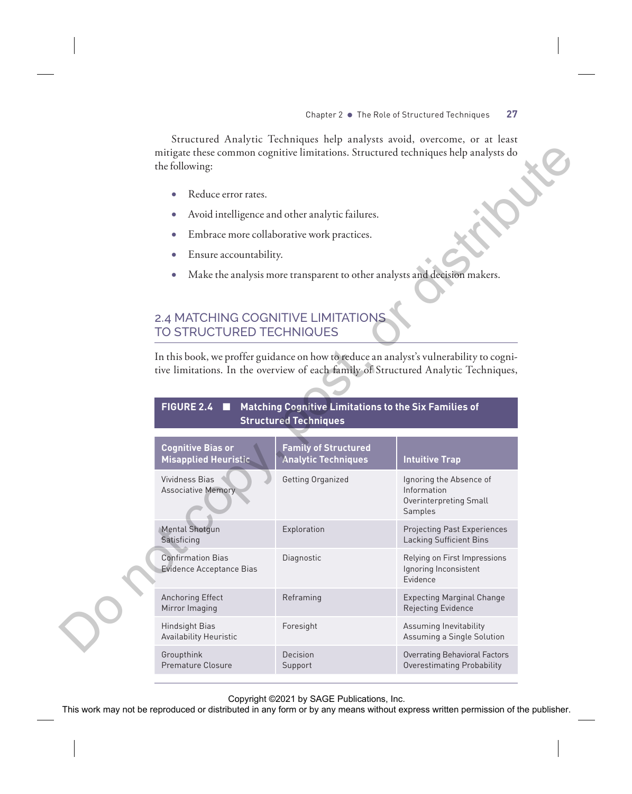Structured Analytic Techniques help analysts avoid, overcome, or at least mitigate these common cognitive limitations. Structured techniques help analysts do the following:

- Reduce error rates.
- Avoid intelligence and other analytic failures.
- Embrace more collaborative work practices.
- Ensure accountability.
- Make the analysis more transparent to other analysts and decision makers.

## 2.4 MATCHING COGNITIVE LIMITATIONS TO STRUCTURED TECHNIQUES

|  | FIGURE 2.4 ■ Matching Cognitive Limitations to the Six Families of |  |
|--|--------------------------------------------------------------------|--|
|  | <b>Structured Techniques</b>                                       |  |

| the following:                                                 |                                                                                       | mitigate these common cognitive limitations. Structured techniques help analysts do                                                                                            |  |  |  |
|----------------------------------------------------------------|---------------------------------------------------------------------------------------|--------------------------------------------------------------------------------------------------------------------------------------------------------------------------------|--|--|--|
| Reduce error rates.<br>$\bullet$                               |                                                                                       |                                                                                                                                                                                |  |  |  |
|                                                                | Avoid intelligence and other analytic failures.                                       |                                                                                                                                                                                |  |  |  |
|                                                                | Embrace more collaborative work practices.                                            |                                                                                                                                                                                |  |  |  |
| Ensure accountability.                                         |                                                                                       |                                                                                                                                                                                |  |  |  |
|                                                                |                                                                                       | Make the analysis more transparent to other analysts and decision makers.                                                                                                      |  |  |  |
| 2.4 MATCHING COGNITIVE LIMITATIONS<br>TO STRUCTURED TECHNIQUES |                                                                                       |                                                                                                                                                                                |  |  |  |
|                                                                |                                                                                       | In this book, we proffer guidance on how to reduce an analyst's vulnerability to cogni-<br>tive limitations. In the overview of each family of Structured Analytic Techniques, |  |  |  |
| <b>FIGURE 2.4</b><br>п                                         | Matching Cognitive Limitations to the Six Families of<br><b>Structured Techniques</b> |                                                                                                                                                                                |  |  |  |
|                                                                |                                                                                       |                                                                                                                                                                                |  |  |  |
| <b>Cognitive Bias or</b><br><b>Misapplied Heuristic</b>        | <b>Family of Structured</b><br><b>Analytic Techniques</b>                             | <b>Intuitive Trap</b>                                                                                                                                                          |  |  |  |
| Vividness Bias<br><b>Associative Memory</b>                    | Getting Organized                                                                     | Ignoring the Absence of<br>Information<br>Overinterpreting Small<br>Samples                                                                                                    |  |  |  |
| <b>Mental Shotgun</b><br>Satisficing                           | Exploration                                                                           | Projecting Past Experiences<br>Lacking Sufficient Bins                                                                                                                         |  |  |  |
| <b>Confirmation Bias</b><br>Evidence Acceptance Bias           | Diagnostic                                                                            | Relying on First Impressions<br>Ignoring Inconsistent<br>Evidence                                                                                                              |  |  |  |
| <b>Anchoring Effect</b><br>Mirror Imaging                      | Reframing                                                                             | <b>Expecting Marginal Change</b><br>Rejecting Evidence                                                                                                                         |  |  |  |
| Hindsight Bias<br><b>Availability Heuristic</b>                | Foresight                                                                             | Assuming Inevitability<br>Assuming a Single Solution                                                                                                                           |  |  |  |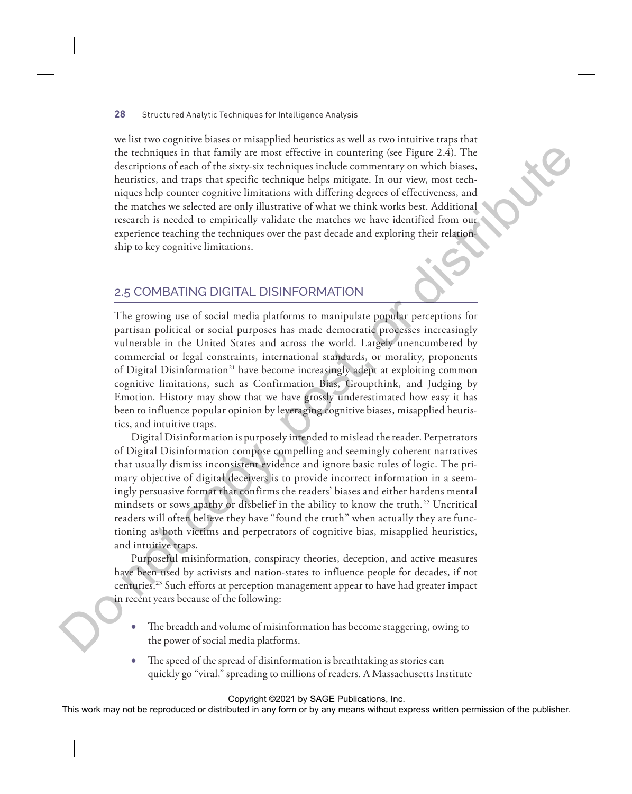we list two cognitive biases or misapplied heuristics as well as two intuitive traps that the techniques in that family are most effective in countering (see Figure 2.4). The descriptions of each of the sixty-six techniques include commentary on which biases, heuristics, and traps that specific technique helps mitigate. In our view, most techniques help counter cognitive limitations with differing degrees of effectiveness, and the matches we selected are only illustrative of what we think works best. Additional research is needed to empirically validate the matches we have identified from our experience teaching the techniques over the past decade and exploring their relationship to key cognitive limitations.

## 2.5 COMBATING DIGITAL DISINFORMATION

The growing use of social media platforms to manipulate popular perceptions for partisan political or social purposes has made democratic processes increasingly vulnerable in the United States and across the world. Largely unencumbered by commercial or legal constraints, international standards, or morality, proponents of Digital Disinformation<sup>21</sup> have become increasingly adept at exploiting common cognitive limitations, such as Confirmation Bias, Groupthink, and Judging by Emotion. History may show that we have grossly underestimated how easy it has been to influence popular opinion by leveraging cognitive biases, misapplied heuristics, and intuitive traps. the columptation of the ratio of the ratio of the ratio of the ratio of the ratio of the ratio of the ratio or the particle results of the ratio or the particle or the particle or the publisher of the ratio or the particl

Digital Disinformation is purposely intended to mislead the reader. Perpetrators of Digital Disinformation compose compelling and seemingly coherent narratives that usually dismiss inconsistent evidence and ignore basic rules of logic. The primary objective of digital deceivers is to provide incorrect information in a seemingly persuasive format that confirms the readers' biases and either hardens mental mindsets or sows apathy or disbelief in the ability to know the truth.<sup>22</sup> Uncritical readers will often believe they have "found the truth" when actually they are functioning as both victims and perpetrators of cognitive bias, misapplied heuristics, and intuitive traps.

Purposeful misinformation, conspiracy theories, deception, and active measures have been used by activists and nation-states to influence people for decades, if not centuries.23 Such efforts at perception management appear to have had greater impact in recent years because of the following:

- The breadth and volume of misinformation has become staggering, owing to the power of social media platforms.
- The speed of the spread of disinformation is breathtaking as stories can quickly go "viral," spreading to millions of readers. A Massachusetts Institute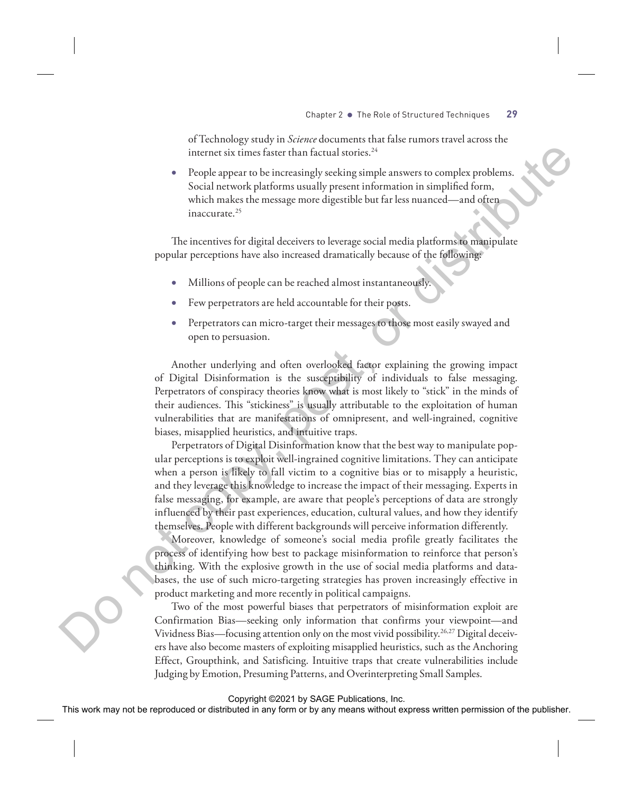of Technology study in *Science* documents that false rumors travel across the internet six times faster than factual stories.<sup>24</sup>

• People appear to be increasingly seeking simple answers to complex problems. Social network platforms usually present information in simplified form, which makes the message more digestible but far less nuanced—and often inaccurate.<sup>25</sup>

The incentives for digital deceivers to leverage social media platforms to manipulate popular perceptions have also increased dramatically because of the following:

- Millions of people can be reached almost instantaneously.
- Few perpetrators are held accountable for their posts.
- Perpetrators can micro-target their messages to those most easily swayed and open to persuasion.

Another underlying and often overlooked factor explaining the growing impact of Digital Disinformation is the susceptibility of individuals to false messaging. Perpetrators of conspiracy theories know what is most likely to "stick" in the minds of their audiences. This "stickiness" is usually attributable to the exploitation of human vulnerabilities that are manifestations of omnipresent, and well-ingrained, cognitive biases, misapplied heuristics, and intuitive traps.

Perpetrators of Digital Disinformation know that the best way to manipulate popular perceptions is to exploit well-ingrained cognitive limitations. They can anticipate when a person is likely to fall victim to a cognitive bias or to misapply a heuristic, and they leverage this knowledge to increase the impact of their messaging. Experts in false messaging, for example, are aware that people's perceptions of data are strongly influenced by their past experiences, education, cultural values, and how they identify themselves. People with different backgrounds will perceive information differently. internet six times factor than factors have a means with means to complex probable any solid method in any form or by any means we reproduced that the publishers of the publisher. The internet corresponding the publishers

Moreover, knowledge of someone's social media profile greatly facilitates the process of identifying how best to package misinformation to reinforce that person's thinking. With the explosive growth in the use of social media platforms and databases, the use of such micro-targeting strategies has proven increasingly effective in product marketing and more recently in political campaigns.

Two of the most powerful biases that perpetrators of misinformation exploit are Confirmation Bias—seeking only information that confirms your viewpoint—and Vividness Bias—focusing attention only on the most vivid possibility.26,27 Digital deceivers have also become masters of exploiting misapplied heuristics, such as the Anchoring Effect, Groupthink, and Satisficing. Intuitive traps that create vulnerabilities include Judging by Emotion, Presuming Patterns, and Overinterpreting Small Samples.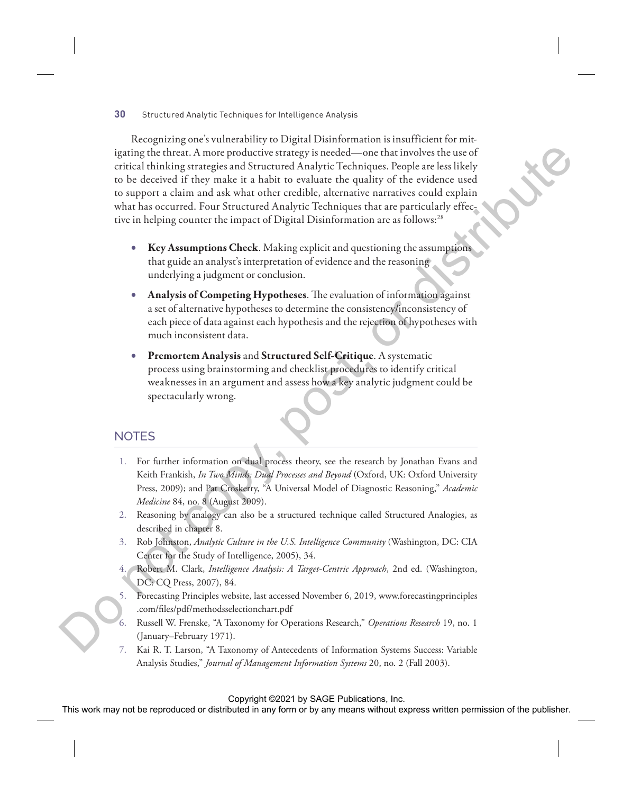Recognizing one's vulnerability to Digital Disinformation is insufficient for mitigating the threat. A more productive strategy is needed—one that involves the use of critical thinking strategies and Structured Analytic Techniques. People are less likely to be deceived if they make it a habit to evaluate the quality of the evidence used to support a claim and ask what other credible, alternative narratives could explain what has occurred. Four Structured Analytic Techniques that are particularly effective in helping counter the impact of Digital Disinformation are as follows:<sup>28</sup> Equivalent in any produced or the restricted consistent and involves the reproduced or the relationship or the relationship or the relationship of the relationship of the relationship of the relationship of the relationsh

- **Key Assumptions Check**. Making explicit and questioning the assumptions that guide an analyst's interpretation of evidence and the reasoning underlying a judgment or conclusion.
- **Analysis of Competing Hypotheses**. The evaluation of information against a set of alternative hypotheses to determine the consistency/inconsistency of each piece of data against each hypothesis and the rejection of hypotheses with much inconsistent data.
- **Premortem Analysis** and **Structured Self-Critique**. A systematic process using brainstorming and checklist procedures to identify critical weaknesses in an argument and assess how a key analytic judgment could be spectacularly wrong.

## **NOTES**

- 1. For further information on dual process theory, see the research by Jonathan Evans and Keith Frankish, *In Two Minds: Dual Processes and Beyond* (Oxford, UK: Oxford University Press, 2009); and Pat Croskerry, "A Universal Model of Diagnostic Reasoning," *Academic Medicine* 84, no. 8 (August 2009).
- 2. Reasoning by analogy can also be a structured technique called Structured Analogies, as described in chapter 8.
- 3. Rob Johnston, *Analytic Culture in the U.S. Intelligence Community* (Washington, DC: CIA Center for the Study of Intelligence, 2005), 34.
- 4. Robert M. Clark, *Intelligence Analysis: A Target-Centric Approach*, 2nd ed. (Washington, DC: CQ Press, 2007), 84.
- 5. Forecasting Principles website, last accessed November 6, 2019, www.forecastingprinciples .com/files/pdf/methodsselectionchart.pdf
- 6. Russell W. Frenske, "A Taxonomy for Operations Research," *Operations Research* 19, no. 1 (January–February 1971).
- 7. Kai R. T. Larson, "A Taxonomy of Antecedents of Information Systems Success: Variable Analysis Studies," *Journal of Management Information Systems* 20, no. 2 (Fall 2003).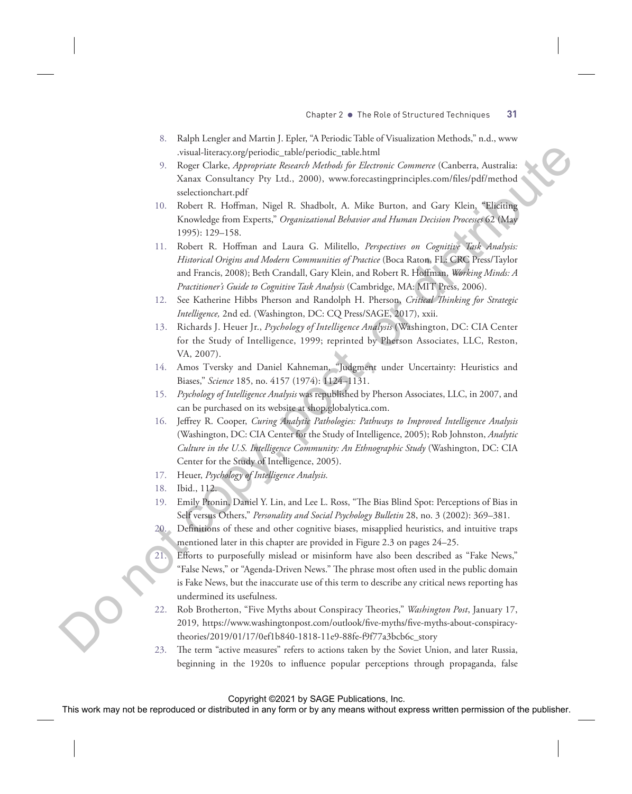- 8. Ralph Lengler and Martin J. Epler, "A Periodic Table of Visualization Methods," n.d., www .visual-literacy.org/periodic\_table/periodic\_table.html
- 9. Roger Clarke, *Appropriate Research Methods for Electronic Commerce* (Canberra, Australia: Xanax Consultancy Pty Ltd., 2000), www.forecastingprinciples.com/files/pdf/method sselectionchart.pdf
- 10. Robert R. Hoffman, Nigel R. Shadbolt, A. Mike Burton, and Gary Klein, "Eliciting Knowledge from Experts," *Organizational Behavior and Human Decision Processes* 62 (May 1995): 129–158.
- 11. Robert R. Hoffman and Laura G. Militello, *Perspectives on Cognitive Task Analysis: Historical Origins and Modern Communities of Practice* (Boca Raton, FL: CRC Press/Taylor and Francis, 2008); Beth Crandall, Gary Klein, and Robert R. Hoffman, *Working Minds: A Practitioner's Guide to Cognitive Task Analysis* (Cambridge, MA: MIT Press, 2006). Note that the reproduced or distributed in the representation of the reproduced or the results of the results of the results of the results of the results of the results of the results of the results of the results of the
	- 12. See Katherine Hibbs Pherson and Randolph H. Pherson, *Critical Thinking for Strategic Intelligence,* 2nd ed. (Washington, DC: CQ Press/SAGE, 2017), xxii.
	- 13. Richards J. Heuer Jr., *Psychology of Intelligence Analysis* (Washington, DC: CIA Center for the Study of Intelligence, 1999; reprinted by Pherson Associates, LLC, Reston, VA, 2007).
	- 14. Amos Tversky and Daniel Kahneman, "Judgment under Uncertainty: Heuristics and Biases," *Science* 185, no. 4157 (1974): 1124–1131.
	- 15. *Psychology of Intelligence Analysis* was republished by Pherson Associates, LLC, in 2007, and can be purchased on its website at shop.globalytica.com.
	- 16. Jeffrey R. Cooper, *Curing Analytic Pathologies: Pathways to Improved Intelligence Analysis* (Washington, DC: CIA Center for the Study of Intelligence, 2005); Rob Johnston, *Analytic Culture in the U.S. Intelligence Community: An Ethnographic Study* (Washington, DC: CIA Center for the Study of Intelligence, 2005).
	- 17. Heuer, *Psychology of Intelligence Analysis.*
	- 18. Ibid., 112.
	- 19. Emily Pronin, Daniel Y. Lin, and Lee L. Ross, "The Bias Blind Spot: Perceptions of Bias in Self versus Others," *Personality and Social Psychology Bulletin* 28, no. 3 (2002): 369–381.
	- 20. Definitions of these and other cognitive biases, misapplied heuristics, and intuitive traps mentioned later in this chapter are provided in Figure 2.3 on pages 24–25.
	- 21. Efforts to purposefully mislead or misinform have also been described as "Fake News," "False News," or "Agenda-Driven News." The phrase most often used in the public domain is Fake News, but the inaccurate use of this term to describe any critical news reporting has undermined its usefulness.
	- 22. Rob Brotherton, "Five Myths about Conspiracy Theories," *Washington Post*, January 17, 2019, https://www.washingtonpost.com/outlook/five-myths/five-myths-about-conspiracytheories/2019/01/17/0ef1b840-1818-11e9-88fe-f9f77a3bcb6c\_story
	- 23. The term "active measures" refers to actions taken by the Soviet Union, and later Russia, beginning in the 1920s to influence popular perceptions through propaganda, false